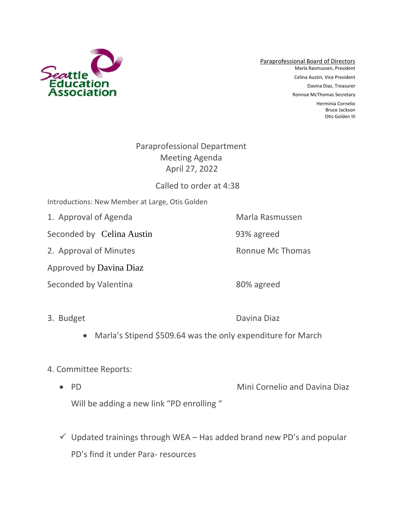

Paraprofessional Board of Directors Marla Rasmussen, President Celina Austin, Vice President Davina Diaz, Treasurer Ronnue McThomas Secretary Herminia Cornelio Bruce Jackson Otis Golden III

# Paraprofessional Department Meeting Agenda April 27, 2022

# Called to order at 4:38

- Introductions: New Member at Large, Otis Golden
- 1. Approval of Agenda Marla Rasmussen

Seconded by Celina Austin 93% agreed

2. Approval of Minutes **Ronnue Mc Thomas** 

Approved by Davina Diaz

Seconded by Valentina 80% agreed

3. Budget Davina Diaz

• Marla's Stipend \$509.64 was the only expenditure for March

### 4. Committee Reports:

- PD Mini Cornelio and Davina Diaz Will be adding a new link "PD enrolling"
- $\checkmark$  Updated trainings through WEA Has added brand new PD's and popular PD's find it under Para- resources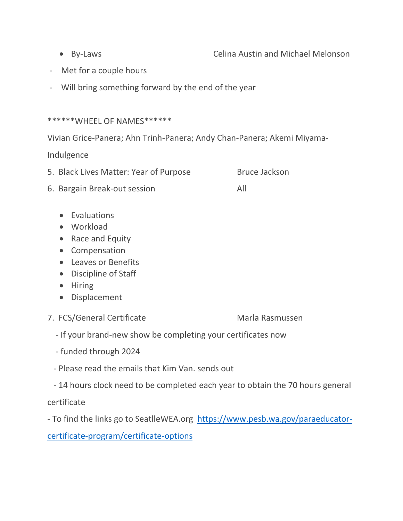• By-Laws Celina Austin and Michael Melonson

- Met for a couple hours
- Will bring something forward by the end of the year

#### \*\*\*\*\*\*WHEEL OF NAMES\*\*\*\*\*\*

Vivian Grice-Panera; Ahn Trinh-Panera; Andy Chan-Panera; Akemi Miyama-

Indulgence

- 5. Black Lives Matter: Year of Purpose Bruce Jackson
- 6. Bargain Break-out session All
	- Evaluations
	- Workload
	- Race and Equity
	- Compensation
	- Leaves or Benefits
	- Discipline of Staff
	- Hiring
	- Displacement
- 7. FCS/General Certificate Marla Rasmussen

- If your brand-new show be completing your certificates now
- funded through 2024
- Please read the emails that Kim Van. sends out
- 14 hours clock need to be completed each year to obtain the 70 hours general

certificate

- To find the links go to SeatlleWEA.org [https://www.pesb.wa.gov/paraeducator-](https://www.pesb.wa.gov/paraeducator-certificate-program/certificate-options)

[certificate-program/certificate-options](https://www.pesb.wa.gov/paraeducator-certificate-program/certificate-options)